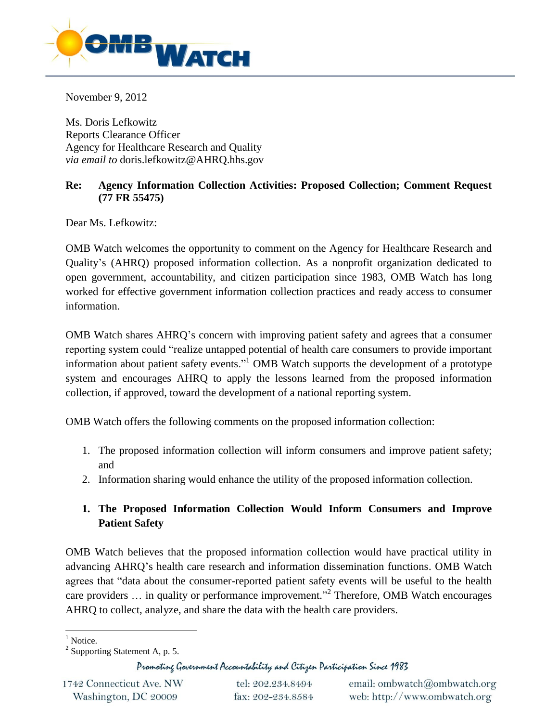

November 9, 2012

Ms. Doris Lefkowitz Reports Clearance Officer Agency for Healthcare Research and Quality *via email to* doris.lefkowitz@AHRQ.hhs.gov

## **Re: Agency Information Collection Activities: Proposed Collection; Comment Request (77 FR 55475)**

Dear Ms. Lefkowitz:

OMB Watch welcomes the opportunity to comment on the Agency for Healthcare Research and Quality's (AHRQ) proposed information collection. As a nonprofit organization dedicated to open government, accountability, and citizen participation since 1983, OMB Watch has long worked for effective government information collection practices and ready access to consumer information.

OMB Watch shares AHRQ's concern with improving patient safety and agrees that a consumer reporting system could "realize untapped potential of health care consumers to provide important information about patient safety events."<sup>1</sup> OMB Watch supports the development of a prototype system and encourages AHRQ to apply the lessons learned from the proposed information collection, if approved, toward the development of a national reporting system.

OMB Watch offers the following comments on the proposed information collection:

- 1. The proposed information collection will inform consumers and improve patient safety; and
- 2. Information sharing would enhance the utility of the proposed information collection.

## **1. The Proposed Information Collection Would Inform Consumers and Improve Patient Safety**

OMB Watch believes that the proposed information collection would have practical utility in advancing AHRQ's health care research and information dissemination functions. OMB Watch agrees that "data about the consumer-reported patient safety events will be useful to the health care providers ... in quality or performance improvement."<sup>2</sup> Therefore, OMB Watch encourages AHRQ to collect, analyze, and share the data with the health care providers.

Promoting Government Accountability and Citizen Participation Since 1983

1742 Connecticut Ave. NW Washington, DC 20009

tel: 202.234.8494 fax: 202-234.8584

email: ombwatch@ombwatch.org web: http://www.ombwatch.org

 <sup>1</sup> Notice.

 $2^2$  Supporting Statement A, p. 5.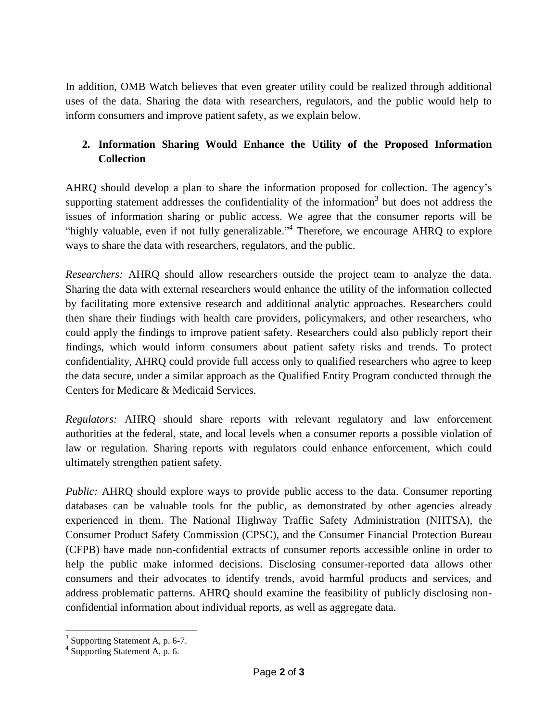In addition, OMB Watch believes that even greater utility could be realized through additional uses of the data. Sharing the data with researchers, regulators, and the public would help to inform consumers and improve patient safety, as we explain below.

## **2. Information Sharing Would Enhance the Utility of the Proposed Information Collection**

AHRQ should develop a plan to share the information proposed for collection. The agency's supporting statement addresses the confidentiality of the information<sup>3</sup> but does not address the issues of information sharing or public access. We agree that the consumer reports will be "highly valuable, even if not fully generalizable."<sup>4</sup> Therefore, we encourage AHRQ to explore ways to share the data with researchers, regulators, and the public.

*Researchers:* AHRQ should allow researchers outside the project team to analyze the data. Sharing the data with external researchers would enhance the utility of the information collected by facilitating more extensive research and additional analytic approaches. Researchers could then share their findings with health care providers, policymakers, and other researchers, who could apply the findings to improve patient safety. Researchers could also publicly report their findings, which would inform consumers about patient safety risks and trends. To protect confidentiality, AHRQ could provide full access only to qualified researchers who agree to keep the data secure, under a similar approach as the Qualified Entity Program conducted through the Centers for Medicare & Medicaid Services.

*Regulators:* AHRQ should share reports with relevant regulatory and law enforcement authorities at the federal, state, and local levels when a consumer reports a possible violation of law or regulation. Sharing reports with regulators could enhance enforcement, which could ultimately strengthen patient safety.

*Public:* AHRQ should explore ways to provide public access to the data. Consumer reporting databases can be valuable tools for the public, as demonstrated by other agencies already experienced in them. The National Highway Traffic Safety Administration (NHTSA), the Consumer Product Safety Commission (CPSC), and the Consumer Financial Protection Bureau (CFPB) have made non-confidential extracts of consumer reports accessible online in order to help the public make informed decisions. Disclosing consumer-reported data allows other consumers and their advocates to identify trends, avoid harmful products and services, and address problematic patterns. AHRQ should examine the feasibility of publicly disclosing nonconfidential information about individual reports, as well as aggregate data.

<sup>&</sup>lt;sup>3</sup> Supporting Statement A, p. 6-7.

<sup>4</sup> Supporting Statement A, p. 6.